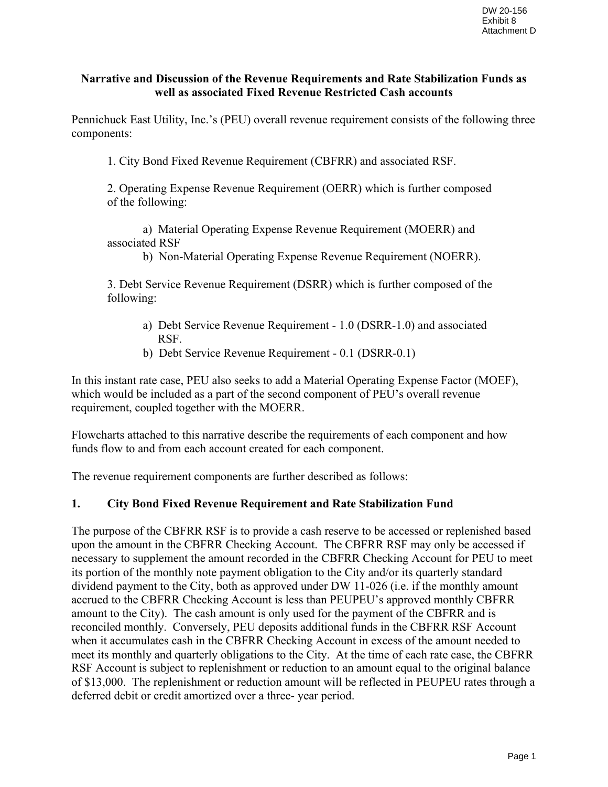### **Narrative and Discussion of the Revenue Requirements and Rate Stabilization Funds as well as associated Fixed Revenue Restricted Cash accounts**

Pennichuck East Utility, Inc.'s (PEU) overall revenue requirement consists of the following three components:

1. City Bond Fixed Revenue Requirement (CBFRR) and associated RSF.

2. Operating Expense Revenue Requirement (OERR) which is further composed of the following:

a) Material Operating Expense Revenue Requirement (MOERR) and associated RSF

b) Non-Material Operating Expense Revenue Requirement (NOERR).

3. Debt Service Revenue Requirement (DSRR) which is further composed of the following:

- a) Debt Service Revenue Requirement 1.0 (DSRR-1.0) and associated RSF.
- b) Debt Service Revenue Requirement 0.1 (DSRR-0.1)

In this instant rate case, PEU also seeks to add a Material Operating Expense Factor (MOEF), which would be included as a part of the second component of PEU's overall revenue requirement, coupled together with the MOERR.

Flowcharts attached to this narrative describe the requirements of each component and how funds flow to and from each account created for each component.

The revenue requirement components are further described as follows:

### **1. City Bond Fixed Revenue Requirement and Rate Stabilization Fund**

The purpose of the CBFRR RSF is to provide a cash reserve to be accessed or replenished based upon the amount in the CBFRR Checking Account. The CBFRR RSF may only be accessed if necessary to supplement the amount recorded in the CBFRR Checking Account for PEU to meet its portion of the monthly note payment obligation to the City and/or its quarterly standard dividend payment to the City, both as approved under DW 11-026 (i.e. if the monthly amount accrued to the CBFRR Checking Account is less than PEUPEU's approved monthly CBFRR amount to the City). The cash amount is only used for the payment of the CBFRR and is reconciled monthly. Conversely, PEU deposits additional funds in the CBFRR RSF Account when it accumulates cash in the CBFRR Checking Account in excess of the amount needed to meet its monthly and quarterly obligations to the City. At the time of each rate case, the CBFRR RSF Account is subject to replenishment or reduction to an amount equal to the original balance of \$13,000. The replenishment or reduction amount will be reflected in PEUPEU rates through a deferred debit or credit amortized over a three- year period.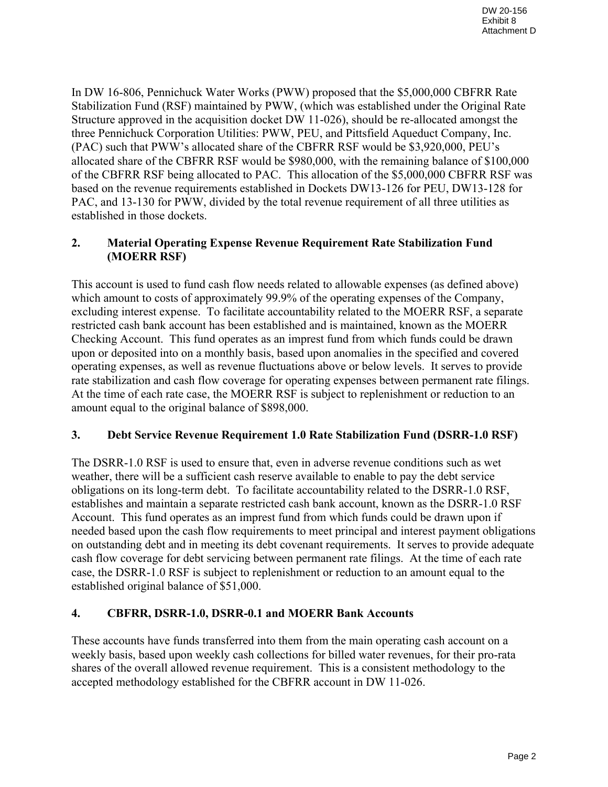In DW 16-806, Pennichuck Water Works (PWW) proposed that the \$5,000,000 CBFRR Rate Stabilization Fund (RSF) maintained by PWW, (which was established under the Original Rate Structure approved in the acquisition docket DW 11-026), should be re-allocated amongst the three Pennichuck Corporation Utilities: PWW, PEU, and Pittsfield Aqueduct Company, Inc. (PAC) such that PWW's allocated share of the CBFRR RSF would be \$3,920,000, PEU's allocated share of the CBFRR RSF would be \$980,000, with the remaining balance of \$100,000 of the CBFRR RSF being allocated to PAC. This allocation of the \$5,000,000 CBFRR RSF was based on the revenue requirements established in Dockets DW13-126 for PEU, DW13-128 for PAC, and 13-130 for PWW, divided by the total revenue requirement of all three utilities as established in those dockets.

## **2. Material Operating Expense Revenue Requirement Rate Stabilization Fund (MOERR RSF)**

This account is used to fund cash flow needs related to allowable expenses (as defined above) which amount to costs of approximately 99.9% of the operating expenses of the Company, excluding interest expense. To facilitate accountability related to the MOERR RSF, a separate restricted cash bank account has been established and is maintained, known as the MOERR Checking Account. This fund operates as an imprest fund from which funds could be drawn upon or deposited into on a monthly basis, based upon anomalies in the specified and covered operating expenses, as well as revenue fluctuations above or below levels. It serves to provide rate stabilization and cash flow coverage for operating expenses between permanent rate filings. At the time of each rate case, the MOERR RSF is subject to replenishment or reduction to an amount equal to the original balance of \$898,000.

# **3. Debt Service Revenue Requirement 1.0 Rate Stabilization Fund (DSRR-1.0 RSF)**

The DSRR-1.0 RSF is used to ensure that, even in adverse revenue conditions such as wet weather, there will be a sufficient cash reserve available to enable to pay the debt service obligations on its long-term debt. To facilitate accountability related to the DSRR-1.0 RSF, establishes and maintain a separate restricted cash bank account, known as the DSRR-1.0 RSF Account. This fund operates as an imprest fund from which funds could be drawn upon if needed based upon the cash flow requirements to meet principal and interest payment obligations on outstanding debt and in meeting its debt covenant requirements. It serves to provide adequate cash flow coverage for debt servicing between permanent rate filings. At the time of each rate case, the DSRR-1.0 RSF is subject to replenishment or reduction to an amount equal to the established original balance of \$51,000.

### **4. CBFRR, DSRR-1.0, DSRR-0.1 and MOERR Bank Accounts**

These accounts have funds transferred into them from the main operating cash account on a weekly basis, based upon weekly cash collections for billed water revenues, for their pro-rata shares of the overall allowed revenue requirement. This is a consistent methodology to the accepted methodology established for the CBFRR account in DW 11-026.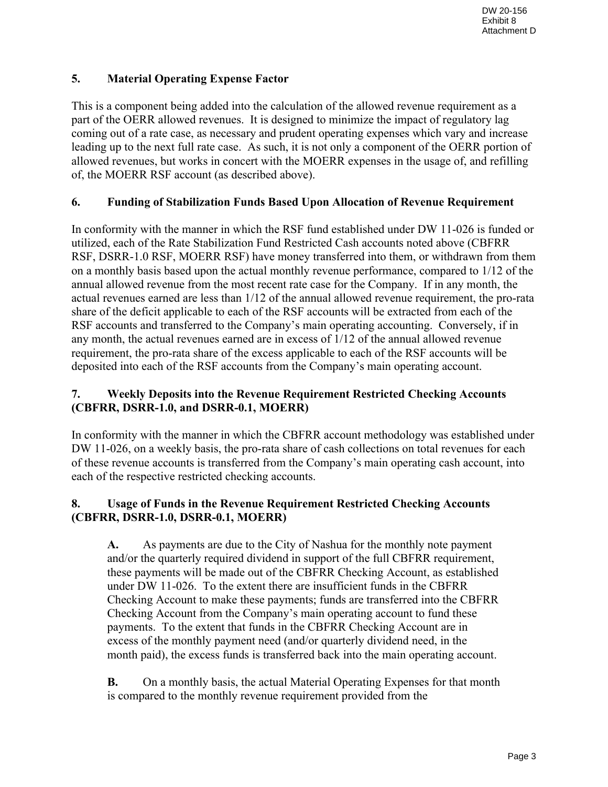# **5. Material Operating Expense Factor**

This is a component being added into the calculation of the allowed revenue requirement as a part of the OERR allowed revenues. It is designed to minimize the impact of regulatory lag coming out of a rate case, as necessary and prudent operating expenses which vary and increase leading up to the next full rate case. As such, it is not only a component of the OERR portion of allowed revenues, but works in concert with the MOERR expenses in the usage of, and refilling of, the MOERR RSF account (as described above).

# **6. Funding of Stabilization Funds Based Upon Allocation of Revenue Requirement**

In conformity with the manner in which the RSF fund established under DW 11-026 is funded or utilized, each of the Rate Stabilization Fund Restricted Cash accounts noted above (CBFRR RSF, DSRR-1.0 RSF, MOERR RSF) have money transferred into them, or withdrawn from them on a monthly basis based upon the actual monthly revenue performance, compared to 1/12 of the annual allowed revenue from the most recent rate case for the Company. If in any month, the actual revenues earned are less than 1/12 of the annual allowed revenue requirement, the pro-rata share of the deficit applicable to each of the RSF accounts will be extracted from each of the RSF accounts and transferred to the Company's main operating accounting. Conversely, if in any month, the actual revenues earned are in excess of 1/12 of the annual allowed revenue requirement, the pro-rata share of the excess applicable to each of the RSF accounts will be deposited into each of the RSF accounts from the Company's main operating account.

# **7. Weekly Deposits into the Revenue Requirement Restricted Checking Accounts (CBFRR, DSRR-1.0, and DSRR-0.1, MOERR)**

In conformity with the manner in which the CBFRR account methodology was established under DW 11-026, on a weekly basis, the pro-rata share of cash collections on total revenues for each of these revenue accounts is transferred from the Company's main operating cash account, into each of the respective restricted checking accounts.

# **8. Usage of Funds in the Revenue Requirement Restricted Checking Accounts (CBFRR, DSRR-1.0, DSRR-0.1, MOERR)**

**A.** As payments are due to the City of Nashua for the monthly note payment and/or the quarterly required dividend in support of the full CBFRR requirement, these payments will be made out of the CBFRR Checking Account, as established under DW 11-026. To the extent there are insufficient funds in the CBFRR Checking Account to make these payments; funds are transferred into the CBFRR Checking Account from the Company's main operating account to fund these payments. To the extent that funds in the CBFRR Checking Account are in excess of the monthly payment need (and/or quarterly dividend need, in the month paid), the excess funds is transferred back into the main operating account.

**B.** On a monthly basis, the actual Material Operating Expenses for that month is compared to the monthly revenue requirement provided from the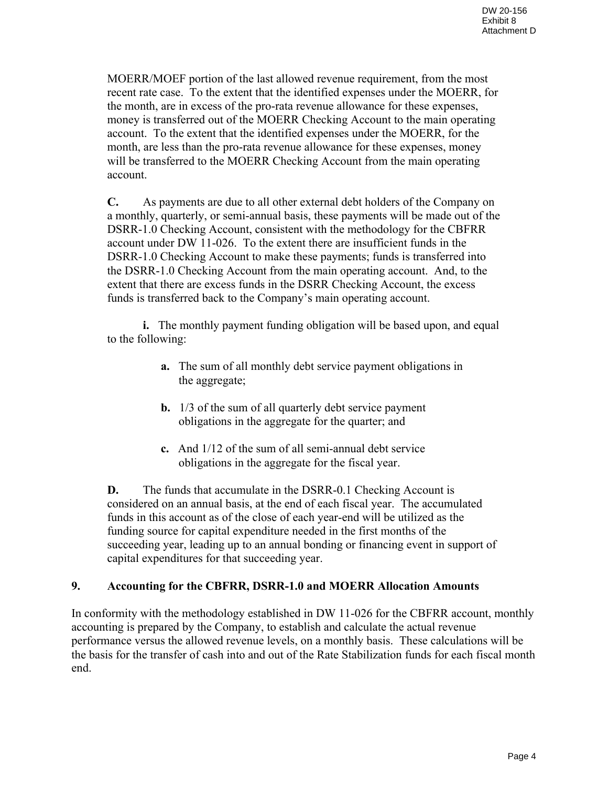MOERR/MOEF portion of the last allowed revenue requirement, from the most recent rate case. To the extent that the identified expenses under the MOERR, for the month, are in excess of the pro-rata revenue allowance for these expenses, money is transferred out of the MOERR Checking Account to the main operating account. To the extent that the identified expenses under the MOERR, for the month, are less than the pro-rata revenue allowance for these expenses, money will be transferred to the MOERR Checking Account from the main operating account.

**C.** As payments are due to all other external debt holders of the Company on a monthly, quarterly, or semi-annual basis, these payments will be made out of the DSRR-1.0 Checking Account, consistent with the methodology for the CBFRR account under DW 11-026. To the extent there are insufficient funds in the DSRR-1.0 Checking Account to make these payments; funds is transferred into the DSRR-1.0 Checking Account from the main operating account. And, to the extent that there are excess funds in the DSRR Checking Account, the excess funds is transferred back to the Company's main operating account.

**i.** The monthly payment funding obligation will be based upon, and equal to the following:

- **a.** The sum of all monthly debt service payment obligations in the aggregate;
- **b.** 1/3 of the sum of all quarterly debt service payment obligations in the aggregate for the quarter; and
- **c.** And 1/12 of the sum of all semi-annual debt service obligations in the aggregate for the fiscal year.

**D.** The funds that accumulate in the DSRR-0.1 Checking Account is considered on an annual basis, at the end of each fiscal year. The accumulated funds in this account as of the close of each year-end will be utilized as the funding source for capital expenditure needed in the first months of the succeeding year, leading up to an annual bonding or financing event in support of capital expenditures for that succeeding year.

### **9. Accounting for the CBFRR, DSRR-1.0 and MOERR Allocation Amounts**

In conformity with the methodology established in DW 11-026 for the CBFRR account, monthly accounting is prepared by the Company, to establish and calculate the actual revenue performance versus the allowed revenue levels, on a monthly basis. These calculations will be the basis for the transfer of cash into and out of the Rate Stabilization funds for each fiscal month end.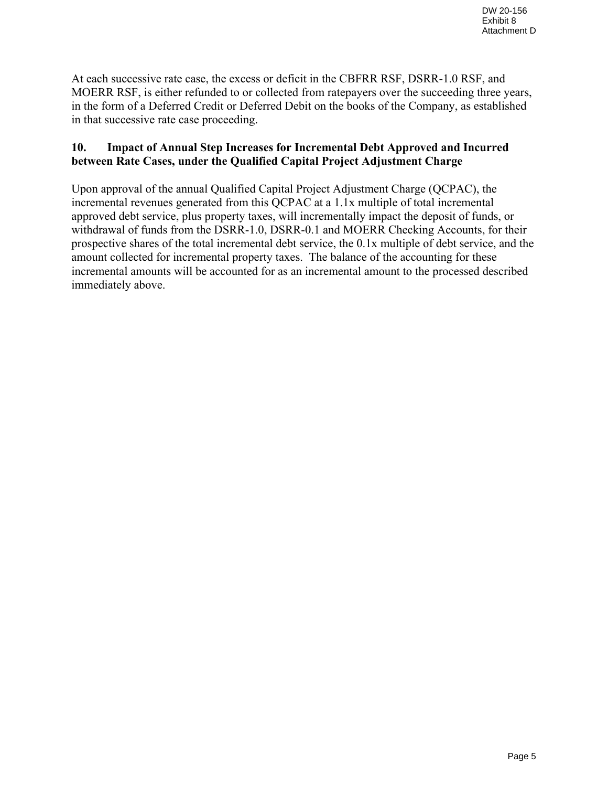At each successive rate case, the excess or deficit in the CBFRR RSF, DSRR-1.0 RSF, and MOERR RSF, is either refunded to or collected from ratepayers over the succeeding three years, in the form of a Deferred Credit or Deferred Debit on the books of the Company, as established in that successive rate case proceeding.

## **10. Impact of Annual Step Increases for Incremental Debt Approved and Incurred between Rate Cases, under the Qualified Capital Project Adjustment Charge**

Upon approval of the annual Qualified Capital Project Adjustment Charge (QCPAC), the incremental revenues generated from this QCPAC at a 1.1x multiple of total incremental approved debt service, plus property taxes, will incrementally impact the deposit of funds, or withdrawal of funds from the DSRR-1.0, DSRR-0.1 and MOERR Checking Accounts, for their prospective shares of the total incremental debt service, the 0.1x multiple of debt service, and the amount collected for incremental property taxes. The balance of the accounting for these incremental amounts will be accounted for as an incremental amount to the processed described immediately above.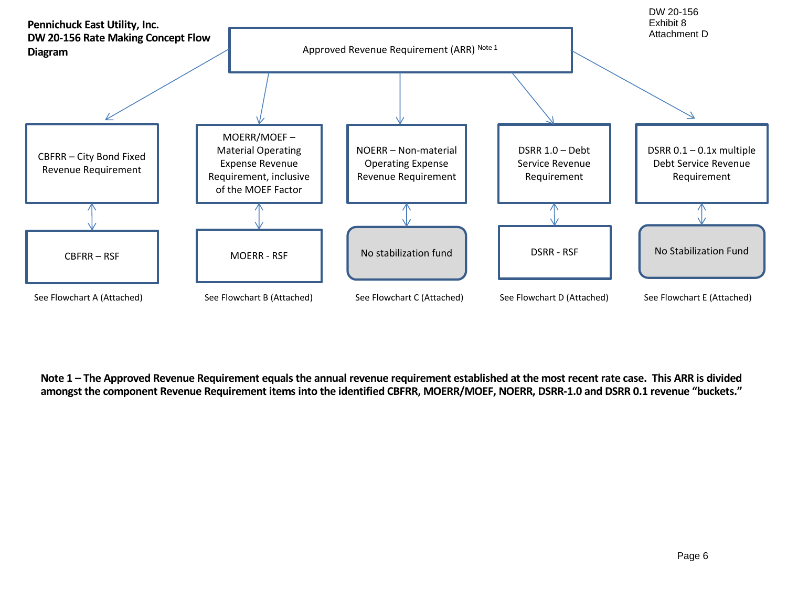

**Note 1 – The Approved Revenue Requirement equals the annual revenue requirement established at the most recent rate case. This ARR is divided amongst the component Revenue Requirement items into the identified CBFRR, MOERR/MOEF, NOERR, DSRR-1.0 and DSRR 0.1 revenue "buckets."**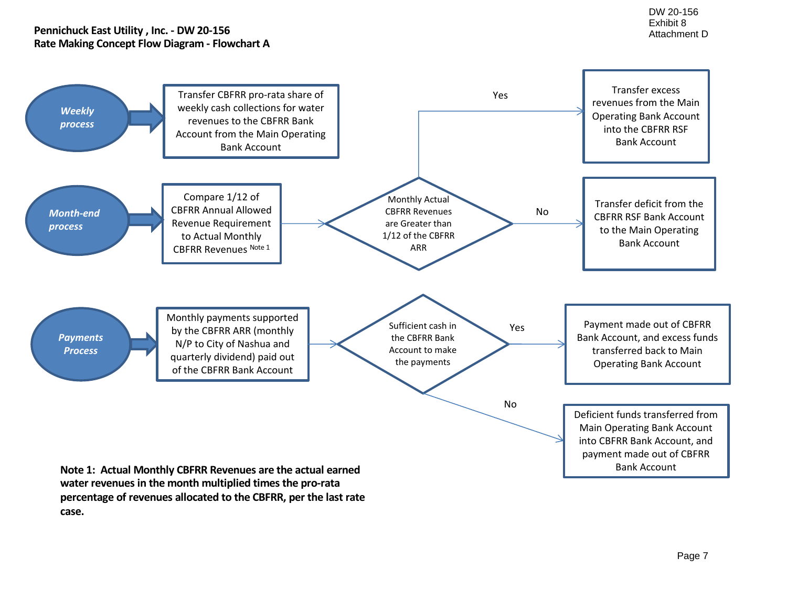#### **Pennichuck East Utility , Inc. - DW 20-156 Rate Making Concept Flow Diagram - Flowchart A**

**case.**



Page 7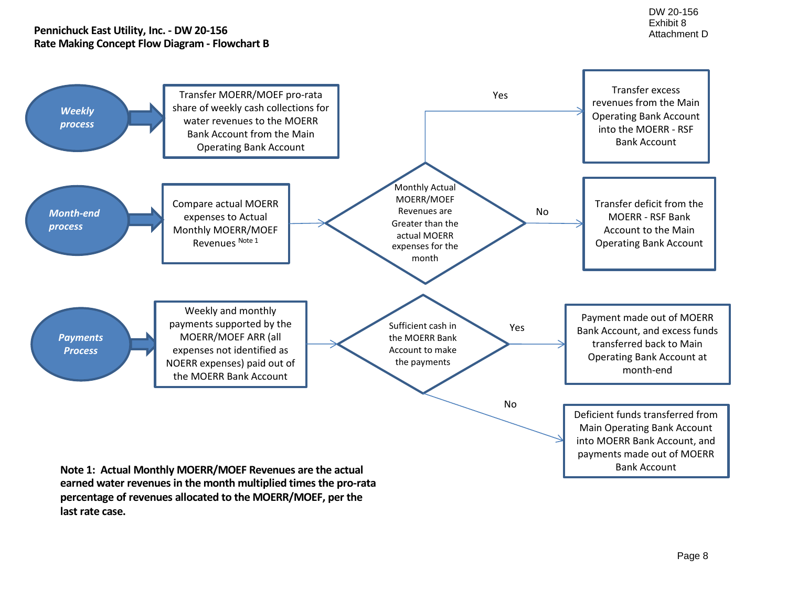#### **Pennichuck East Utility, Inc. - DW 20-156 Rate Making Concept Flow Diagram - Flowchart B**



**earned water revenues in the month multiplied times the pro-rata percentage of revenues allocated to the MOERR/MOEF, per the last rate case.**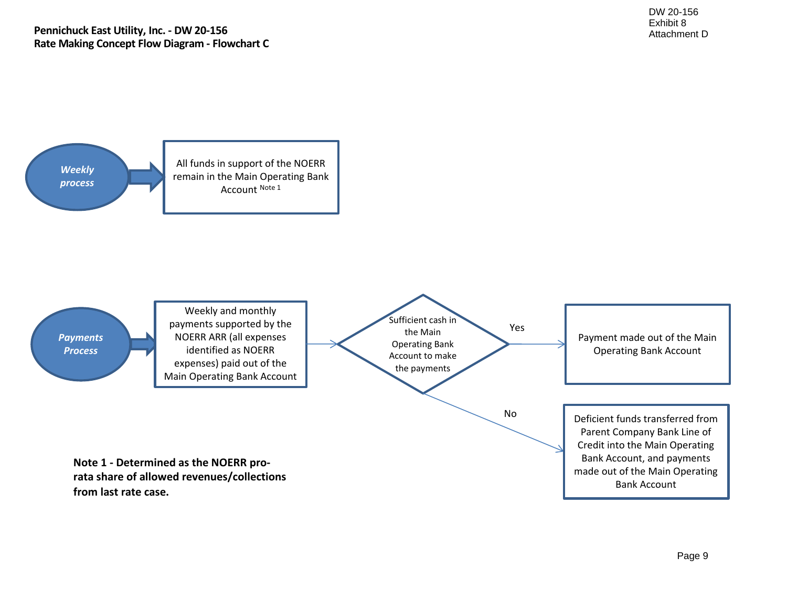

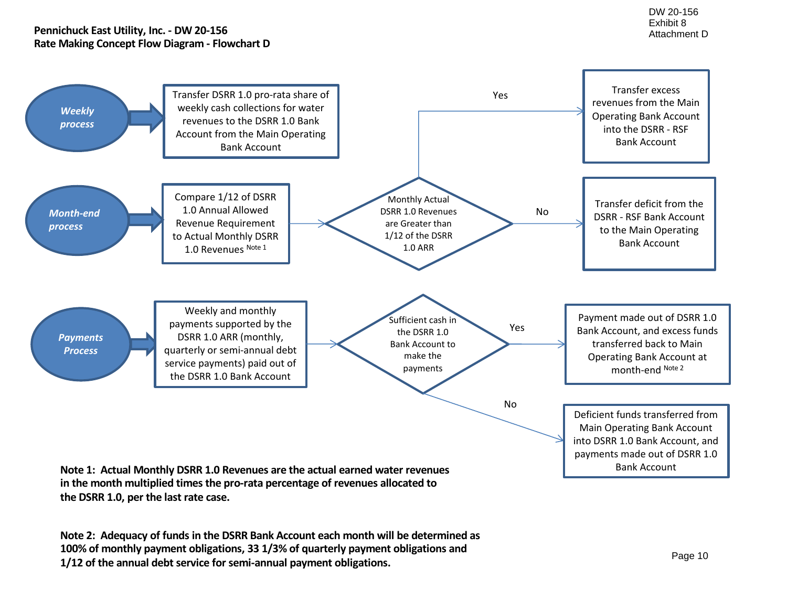#### **Pennichuck East Utility, Inc. - DW 20-156 Rate Making Concept Flow Diagram - Flowchart D**



**the DSRR 1.0, per the last rate case.**

**Note 2: Adequacy of funds in the DSRR Bank Account each month will be determined as 100% of monthly payment obligations, 33 1/3% of quarterly payment obligations and 1/12 of the annual debt service for semi-annual payment obligations.**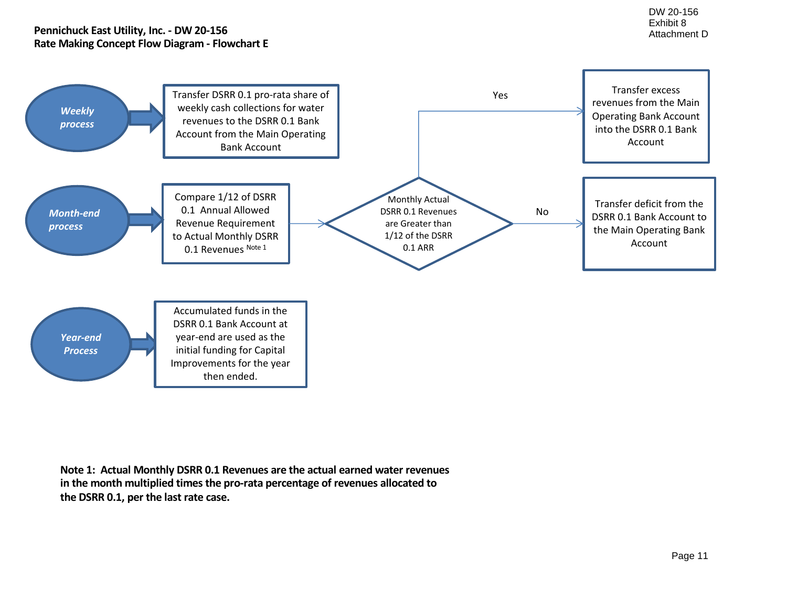#### **Pennichuck East Utility, Inc. - DW 20-156 Rate Making Concept Flow Diagram - Flowchart E**



**Note 1: Actual Monthly DSRR 0.1 Revenues are the actual earned water revenues in the month multiplied times the pro-rata percentage of revenues allocated to the DSRR 0.1, per the last rate case.**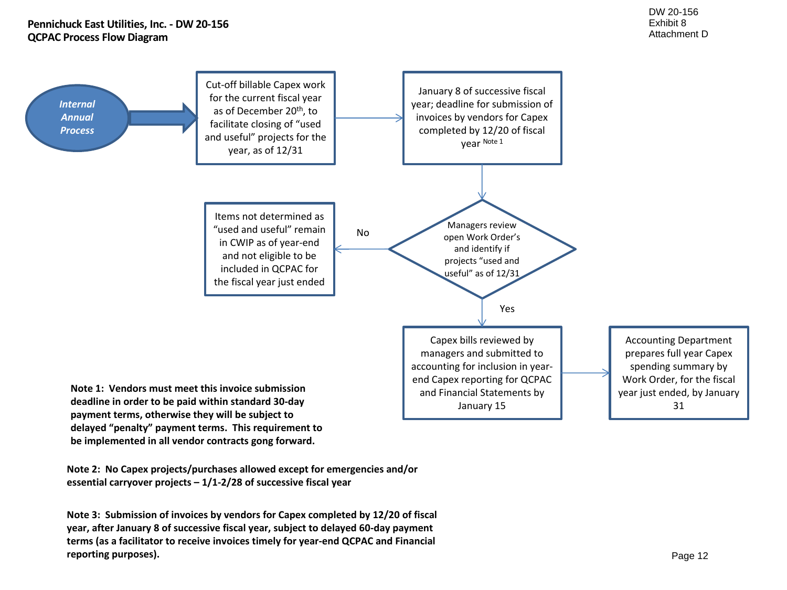

**Note 2: No Capex projects/purchases allowed except for emergencies and/or essential carryover projects – 1/1-2/28 of successive fiscal year**

**be implemented in all vendor contracts gong forward.**

**Note 3: Submission of invoices by vendors for Capex completed by 12/20 of fiscal year, after January 8 of successive fiscal year, subject to delayed 60-day payment terms (as a facilitator to receive invoices timely for year-end QCPAC and Financial reporting purposes).**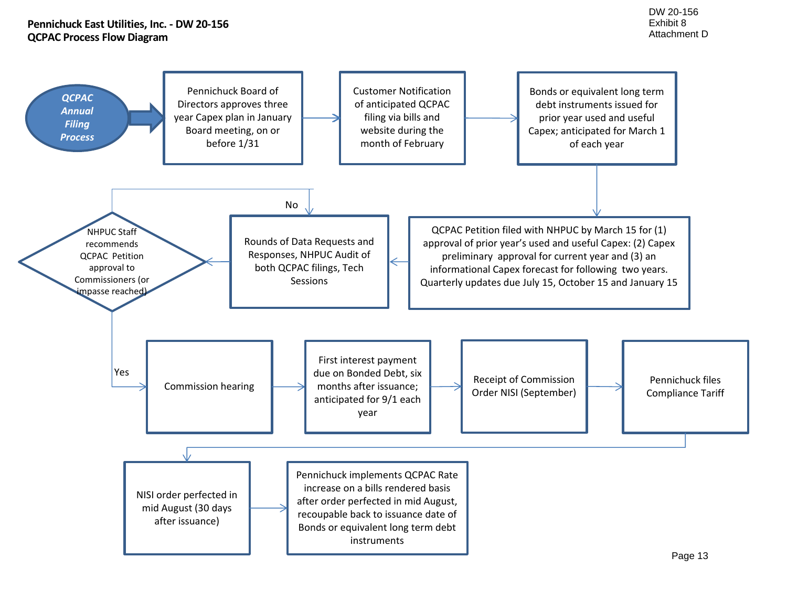